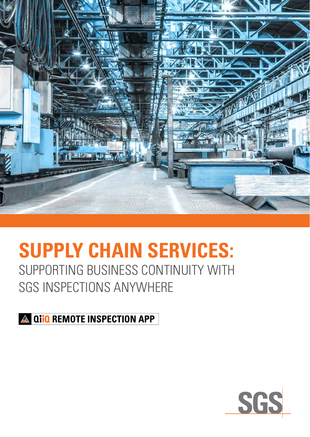

# **SUPPLY CHAIN SERVICES:** SUPPORTING BUSINESS CONTINUITY WITH SGS INSPECTIONS ANYWHERE

**A QIIO REMOTE INSPECTION APP** 

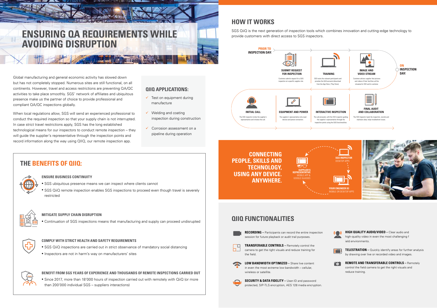### **QIIQ FUNCTIONALITIES**



SGS QiiQ is the next generation of inspection tools which combines innovation and cutting-edge technology to provide customers with direct access to SGS inspectors.

- $\checkmark$  Test on equipment during manufacture
- $\checkmark$  Welding and coating inspection during construction
- $\checkmark$  Corrosion assessment on a pipeline during operation

## **THE BENEFITS OF QIIQ:**



### **QIIQ APPLICATIONS:**

Global manufacturing and general economic activity has slowed down but has not completely stopped. Numerous sites are still functional, on all continents. However, travel and access restrictions are preventing QA/QC activities to take place smoothly. SGS' network of affiliates and ubiquitous presence make us the partner of choice to provide professional and compliant QA/QC inspections globally.

the state of the state of the state of the state of the state of the state of the state of the state of the state of

**SECURITY & DATA FIDELITY – User-ID and password** protected, SIP-TLS encryption, AES 128 media encryption.

When local regulations allow, SGS will send an experienced professional to conduct the required inspection so that your supply chain is not interrupted. In case strict travel restrictions apply, SGS has the long established technological means for our inspectors to conduct remote inspection – they will guide the supplier's representative through the inspection points and record information along the way using QIIQ, our remote inspection app.





in even the most extreme low bandwidth – cellular, wireless or satellite.



**HIGH QUALITY AUDIO/VIDEO –** Clear audio and high-quality video in even the most challenging f ield environments.



**TELESTRATION –** Quickly identify areas for further analysis by drawing over live or recorded video and images.



**REMOTE AND TRANSFERABLE CONTROLS –** Remotely control the field camera to get the right visuals and reduce training.



# **ENSURING QA REQUIREMENTS WHILE AVOIDING DISRUPTION**

**ENSURE BUSINESS CONTINUITY**

- SGS ubiquitous presence means we can inspect where clients cannot
- SGS QiiQ remote inspection enables SGS inspections to proceed even though travel is severely restricted



#### **MITIGATE SUPPLY CHAIN DISRUPTION**

• Continuation of SGS inspections means that manufacturing and supply can proceed undisrupted



#### **COMPLY WITH STRICT HEALTH AND SAFETY REQUIREMENTS**

- SGS QiiQ inspections are carried out in strict observance of mandatory social distancing
- Inspectors are not in harm's way on manufacturers' sites



#### **BENEFIT FROM SGS YEARS OF EXPERIENCE AND THOUSANDS OF REMOTE INSPECTIONS CARRIED OUT**

• Since 2017, more than 18'000 hours of inspection carried out with remotely with QiiQ (or more than 200'000 individual SGS – suppliers interactions)







**CONNECTING PEOPLE, SKILLS AND TECHNOLOGY, USING ANY DEVICE. ANYWHERE.**